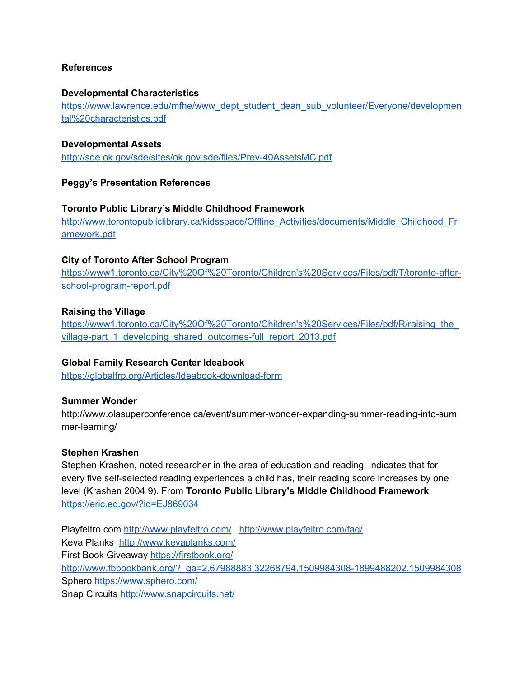## **References**

#### **Developmental Characteristics**

[https://www.lawrence.edu/mfhe/www\\_dept\\_student\\_dean\\_sub\\_volunteer/Everyone/developmen](https://www.lawrence.edu/mfhe/www_dept_student_dean_sub_volunteer/Everyone/developmental%20characteristics.pdf) [tal%20characteristics.pdf](https://www.lawrence.edu/mfhe/www_dept_student_dean_sub_volunteer/Everyone/developmental%20characteristics.pdf)

### **Developmental Assets**

<http://sde.ok.gov/sde/sites/ok.gov.sde/files/Prev-40AssetsMC.pdf>

## **Peggy's Presentation References**

### **Toronto Public Library's Middle Childhood Framework**

[http://www.torontopubliclibrary.ca/kidsspace/Offline\\_Activities/documents/Middle\\_Childhood\\_Fr](http://www.torontopubliclibrary.ca/kidsspace/Offline_Activities/documents/Middle_Childhood_Framework.pdf) [amework.pdf](http://www.torontopubliclibrary.ca/kidsspace/Offline_Activities/documents/Middle_Childhood_Framework.pdf)

### **City of Toronto After School Program**

[https://www1.toronto.ca/City%20Of%20Toronto/Children's%20Services/Files/pdf/T/toronto-after](https://www1.toronto.ca/City%20Of%20Toronto/Children)[school-program-report.pdf](https://www1.toronto.ca/City%20Of%20Toronto/Children)

### **Raising the Village**

[https://www1.toronto.ca/City%20Of%20Toronto/Children's%20Services/Files/pdf/R/raising\\_the\\_](https://www1.toronto.ca/City%20Of%20Toronto/Children) [village-part\\_1\\_developing\\_shared\\_outcomes-full\\_report\\_2013.pdf](https://www1.toronto.ca/City%20Of%20Toronto/Children)

## **Global Family Research Center Ideabook**

<https://globalfrp.org/Articles/Ideabook-download-form>

#### **Summer Wonder**

http://www.olasuperconference.ca/event/summer-wonder-expanding-summer-reading-into-sum mer-learning/

#### **Stephen Krashen**

Stephen Krashen, noted researcher in the area of education and reading, indicates that for every five self-selected reading experiences a child has, their reading score increases by one level (Krashen 2004 9). From **Toronto Public Library's Middle Childhood Framework** <https://eric.ed.gov/?id=EJ869034>

Playfeltro.com <http://www.playfeltro.com/> <http://www.playfeltro.com/faq/> Keva Planks <http://www.kevaplanks.com/> First Book Giveaway <https://firstbook.org/> [http://www.fbbookbank.org/?\\_ga=2.67988883.32268794.1509984308-1899488202.1509984308](http://www.fbbookbank.org/?_ga=2.67988883.32268794.1509984308-1899488202.1509984308) Sphero <https://www.sphero.com/> Snap Circuits <http://www.snapcircuits.net/>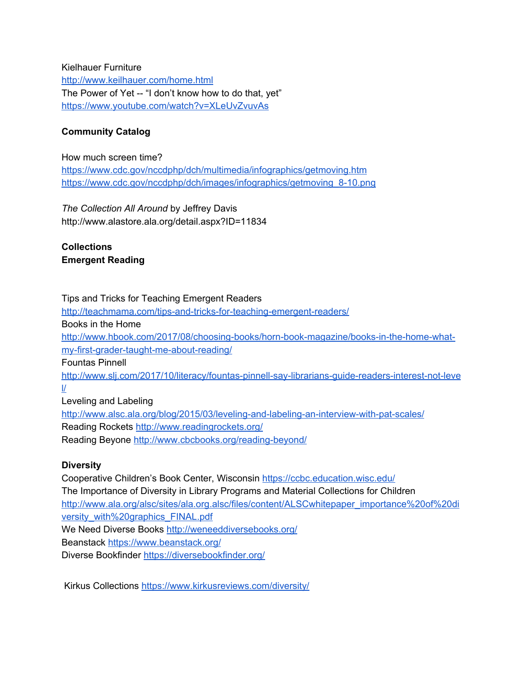Kielhauer Furniture <http://www.keilhauer.com/home.html> The Power of Yet -- "I don't know how to do that, yet" <https://www.youtube.com/watch?v=XLeUvZvuvAs>

# **Community Catalog**

How much screen time?

<https://www.cdc.gov/nccdphp/dch/multimedia/infographics/getmoving.htm> [https://www.cdc.gov/nccdphp/dch/images/infographics/getmoving\\_8-10.png](https://www.cdc.gov/nccdphp/dch/images/infographics/getmoving_8-10.png)

*The Collection All Around* by Jeffrey Davis http://www.alastore.ala.org/detail.aspx?ID=11834

**Collections Emergent Reading**

# Tips and Tricks for Teaching Emergent Readers

<http://teachmama.com/tips-and-tricks-for-teaching-emergent-readers/> Books in the Home [http://www.hbook.com/2017/08/choosing-books/horn-book-magazine/books-in-the-home-what](http://www.hbook.com/2017/08/choosing-books/horn-book-magazine/books-in-the-home-what-my-first-grader-taught-me-about-reading/)[my-first-grader-taught-me-about-reading/](http://www.hbook.com/2017/08/choosing-books/horn-book-magazine/books-in-the-home-what-my-first-grader-taught-me-about-reading/) Fountas Pinnell [http://www.slj.com/2017/10/literacy/fountas-pinnell-say-librarians-guide-readers-interest-not-leve](http://www.slj.com/2017/10/literacy/fountas-pinnell-say-librarians-guide-readers-interest-not-level/)  $\mathcal{U}$ Leveling and Labeling

<http://www.alsc.ala.org/blog/2015/03/leveling-and-labeling-an-interview-with-pat-scales/> Reading Rockets <http://www.readingrockets.org/> Reading Beyone <http://www.cbcbooks.org/reading-beyond/>

# **Diversity**

Cooperative Children's Book Center, Wisconsin <https://ccbc.education.wisc.edu/> The [Importance](http://www.ala.org/alsc/sites/ala.org.alsc/files/content/ALSCwhitepaper_importance%20of%20diversity_with%20graphics_FINAL.pdf) of Diversity in Library Programs and Material Collections for Children [http://www.ala.org/alsc/sites/ala.org.alsc/files/content/ALSCwhitepaper\\_importance%20of%20di](http://www.ala.org/alsc/sites/ala.org.alsc/files/content/ALSCwhitepaper_importance%20of%20diversity_with%20graphics_FINAL.pdf) [versity\\_with%20graphics\\_FINAL.pdf](http://www.ala.org/alsc/sites/ala.org.alsc/files/content/ALSCwhitepaper_importance%20of%20diversity_with%20graphics_FINAL.pdf) We Need Diverse Books <http://weneeddiversebooks.org/> Beanstack <https://www.beanstack.org/> Diverse Bookfinder <https://diversebookfinder.org/>

Kirkus Collections <https://www.kirkusreviews.com/diversity/>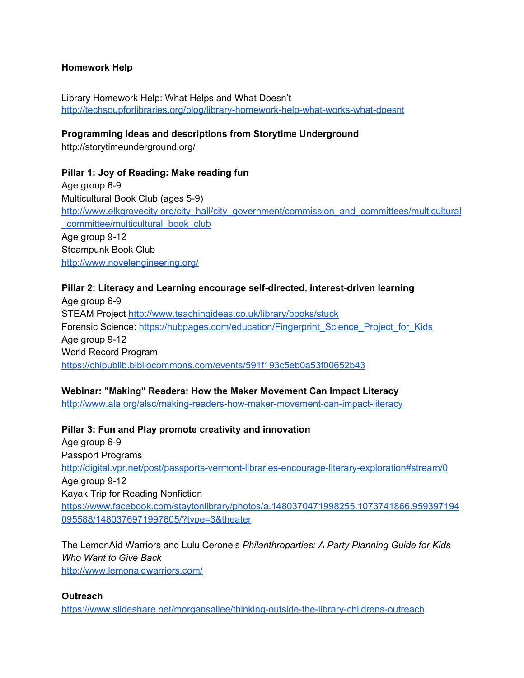## **Homework Help**

Library Homework Help: What Helps and What Doesn't <http://techsoupforlibraries.org/blog/library-homework-help-what-works-what-doesnt>

## **Programming ideas and descriptions from Storytime Underground**

http://storytimeunderground.org/

## **Pillar 1: Joy of Reading: Make reading fun**

Age group 6-9 Multicultural Book Club (ages 5-9) [http://www.elkgrovecity.org/city\\_hall/city\\_government/commission\\_and\\_committees/multicultural](http://www.elkgrovecity.org/city_hall/city_government/commission_and_committees/multicultural_committee/multicultural_book_club) [\\_committee/multicultural\\_book\\_club](http://www.elkgrovecity.org/city_hall/city_government/commission_and_committees/multicultural_committee/multicultural_book_club) Age group 9-12 Steampunk Book Club <http://www.novelengineering.org/>

## **Pillar 2: Literacy and Learning encourage self-directed, interest-driven learning**

Age group 6-9 STEAM Project <http://www.teachingideas.co.uk/library/books/stuck> Forensic Science: [https://hubpages.com/education/Fingerprint\\_Science\\_Project\\_for\\_Kids](https://hubpages.com/education/Fingerprint_Science_Project_for_Kids) Age group 9-12 World Record Program <https://chipublib.bibliocommons.com/events/591f193c5eb0a53f00652b43>

# **Webinar: "Making" Readers: How the Maker Movement Can Impact Literacy**

<http://www.ala.org/alsc/making-readers-how-maker-movement-can-impact-literacy>

## **Pillar 3: Fun and Play promote creativity and innovation**

Age group 6-9 Passport Programs <http://digital.vpr.net/post/passports-vermont-libraries-encourage-literary-exploration#stream/0> Age group 9-12 Kayak Trip for Reading Nonfiction [https://www.facebook.com/staytonlibrary/photos/a.1480370471998255.1073741866.959397194](https://www.facebook.com/staytonlibrary/photos/a.1480370471998255.1073741866.959397194095588/1480376971997605/?type=3&theater) [095588/1480376971997605/?type=3&theater](https://www.facebook.com/staytonlibrary/photos/a.1480370471998255.1073741866.959397194095588/1480376971997605/?type=3&theater)

The LemonAid Warriors and Lulu Cerone's *Philanthroparties: A Party Planning Guide for Kids Who Want to Give Back* <http://www.lemonaidwarriors.com/>

## **Outreach**

<https://www.slideshare.net/morgansallee/thinking-outside-the-library-childrens-outreach>